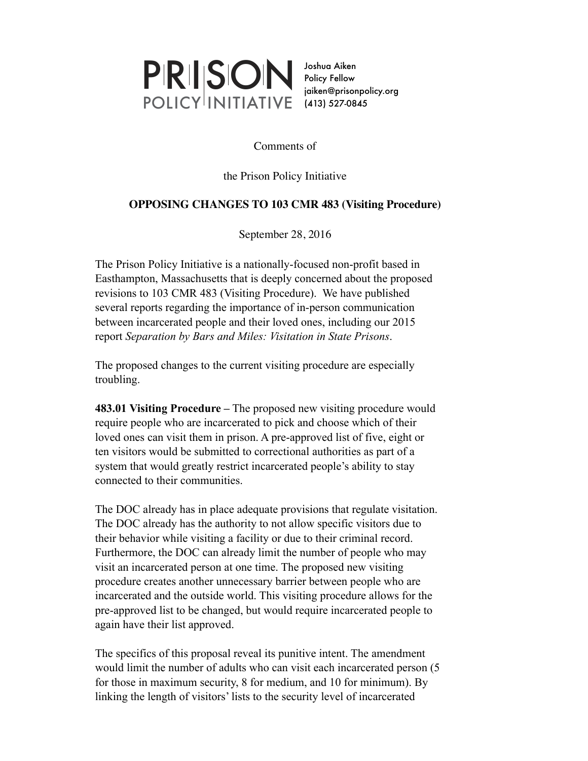**PRISON POLICY INITIATIVE** 

Joshua Aiken Policy Fellow jaiken@prisonpolicy.org (413) 527-0845

Comments of

the Prison Policy Initiative

## **OPPOSING CHANGES TO 103 CMR 483 (Visiting Procedure)**

September 28, 2016

The Prison Policy Initiative is a nationally-focused non-profit based in Easthampton, Massachusetts that is deeply concerned about the proposed revisions to 103 CMR 483 (Visiting Procedure). We have published several reports regarding the importance of in-person communication between incarcerated people and their loved ones, including our 2015 report *Separation by Bars and Miles: Visitation in State Prisons*.

The proposed changes to the current visiting procedure are especially troubling.

**483.01 Visiting Procedure –** The proposed new visiting procedure would require people who are incarcerated to pick and choose which of their loved ones can visit them in prison. A pre-approved list of five, eight or ten visitors would be submitted to correctional authorities as part of a system that would greatly restrict incarcerated people's ability to stay connected to their communities.

The DOC already has in place adequate provisions that regulate visitation. The DOC already has the authority to not allow specific visitors due to their behavior while visiting a facility or due to their criminal record. Furthermore, the DOC can already limit the number of people who may visit an incarcerated person at one time. The proposed new visiting procedure creates another unnecessary barrier between people who are incarcerated and the outside world. This visiting procedure allows for the pre-approved list to be changed, but would require incarcerated people to again have their list approved.

The specifics of this proposal reveal its punitive intent. The amendment would limit the number of adults who can visit each incarcerated person (5 for those in maximum security, 8 for medium, and 10 for minimum). By linking the length of visitors' lists to the security level of incarcerated